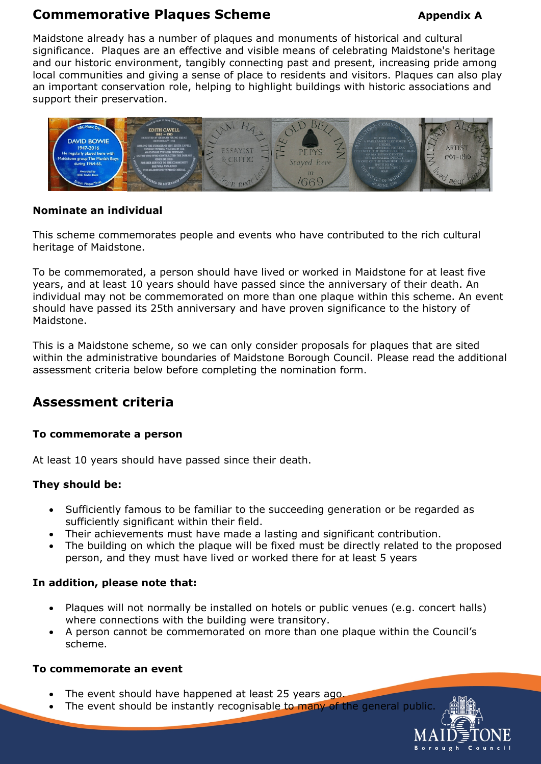# **Commemorative Plaques Scheme** *Appendix* **A**

Maidstone already has a number of plaques and monuments of historical and cultural significance. Plaques are an effective and visible means of celebrating Maidstone's heritage and our historic environment, tangibly connecting past and present, increasing pride among local communities and giving a sense of place to residents and visitors. Plaques can also play an important conservation role, helping to highlight buildings with historic associations and support their preservation.



## **Nominate an individual**

This scheme commemorates people and events who have contributed to the rich cultural heritage of Maidstone.

To be commemorated, a person should have lived or worked in Maidstone for at least five years, and at least 10 years should have passed since the anniversary of their death. An individual may not be commemorated on more than one plaque within this scheme. An event should have passed its 25th anniversary and have proven significance to the history of Maidstone.

This is a Maidstone scheme, so we can only consider proposals for plaques that are sited within the administrative boundaries of Maidstone Borough Council. Please read the additional assessment criteria below before completing the nomination form.

# **Assessment criteria**

# **To commemorate a person**

At least 10 years should have passed since their death.

#### **They should be:**

- Sufficiently famous to be familiar to the succeeding generation or be regarded as sufficiently significant within their field.
- Their achievements must have made a lasting and significant contribution.
- The building on which the plaque will be fixed must be directly related to the proposed person, and they must have lived or worked there for at least 5 years

#### **In addition, please note that:**

- Plaques will not normally be installed on hotels or public venues (e.g. concert halls) where connections with the building were transitory.
- A person cannot be commemorated on more than one plaque within the Council's scheme.

#### **To commemorate an event**

- The event should have happened at least 25 years ago.
- The event should be instantly recognisable to many of the general public

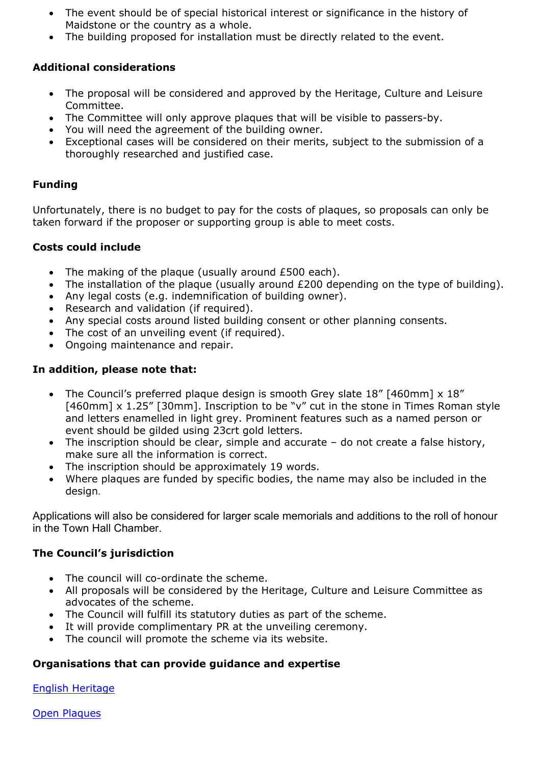- The event should be of special historical interest or significance in the history of Maidstone or the country as a whole.
- The building proposed for installation must be directly related to the event.

# **Additional considerations**

- The proposal will be considered and approved by the Heritage, Culture and Leisure Committee.
- The Committee will only approve plaques that will be visible to passers-by.
- You will need the agreement of the building owner.
- Exceptional cases will be considered on their merits, subject to the submission of a thoroughly researched and justified case.

## **Funding**

Unfortunately, there is no budget to pay for the costs of plaques, so proposals can only be taken forward if the proposer or supporting group is able to meet costs.

#### **Costs could include**

- The making of the plaque (usually around £500 each).
- The installation of the plaque (usually around £200 depending on the type of building).
- Any legal costs (e.g. indemnification of building owner).
- Research and validation (if required).
- Any special costs around listed building consent or other planning consents.
- The cost of an unveiling event (if required).
- Ongoing maintenance and repair.

#### **In addition, please note that:**

- The Council's preferred plaque design is smooth Grey slate 18" [460mm] x 18" [460mm] x 1.25" [30mm]. Inscription to be "v" cut in the stone in Times Roman style and letters enamelled in light grey. Prominent features such as a named person or event should be gilded using 23crt gold letters.
- The inscription should be clear, simple and accurate do not create a false history, make sure all the information is correct.
- The inscription should be approximately 19 words.
- Where plaques are funded by specific bodies, the name may also be included in the design.

Applications will also be considered for larger scale memorials and additions to the roll of honour in the Town Hall Chamber.

#### **The Council's jurisdiction**

- The council will co-ordinate the scheme.
- All proposals will be considered by the Heritage, Culture and Leisure Committee as advocates of the scheme.
- The Council will fulfill its statutory duties as part of the scheme.
- It will provide complimentary PR at the unveiling ceremony.
- The council will promote the scheme via its website.

# **Organisations that can provide guidance and expertise**

English [Heritage](file:///C:/Users/DawnH/AppData/Local/Microsoft/Windows/INetCache/Content.Outlook/DME2G21V/English%20Heritage%20Document%20http:/www.english-heritage.org.uk/content/publications/ehcharity/celebrating-people-and-place/commemorative-plaques-guidance-pt1.pdf)

Open [Plaques](http://openplaques.org/places/gb/areas/maidstone/plaques)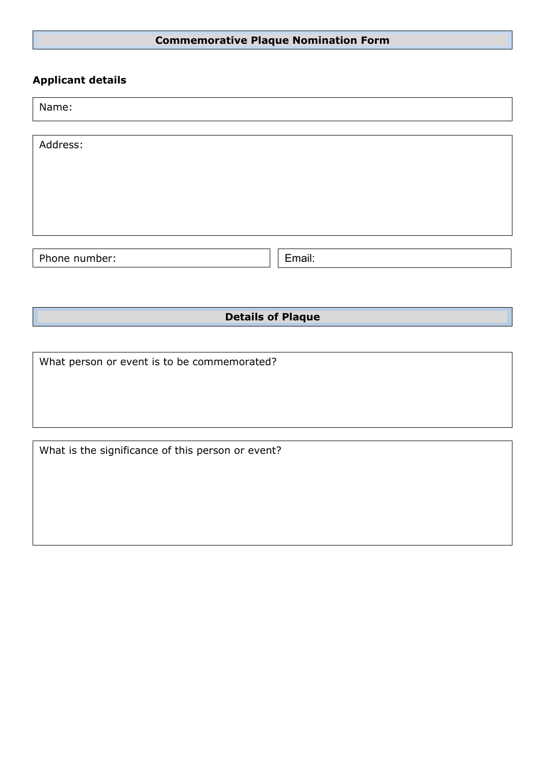# **Commemorative Plaque Nomination Form**

# **Applicant details**

|  | Name: |  |
|--|-------|--|
|  |       |  |

| Address:      |        |
|---------------|--------|
|               |        |
|               |        |
|               |        |
| Phone number: | Email: |

**Details of Plaque**

What person or event is to be commemorated?

What is the significance of this person or event?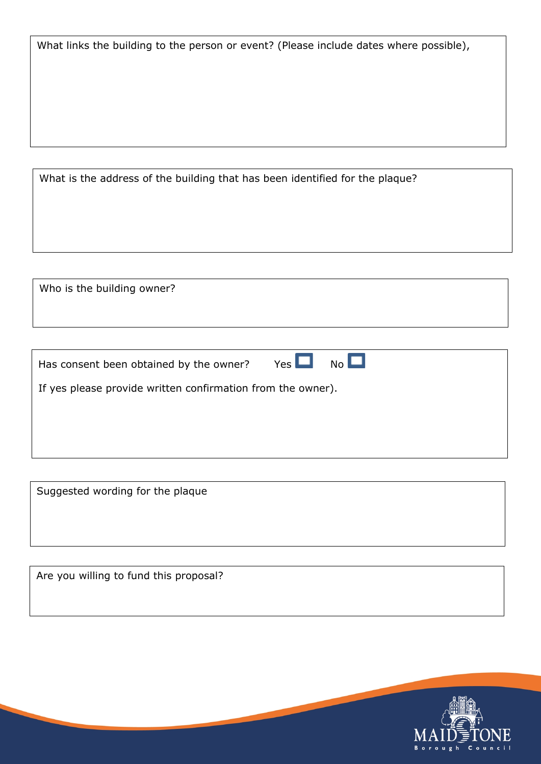What links the building to the person or event? (Please include dates where possible),

What is the address of the building that has been identified for the plaque?

Who is the building owner?

| Has consent been obtained by the owner? |  | $Yes$ $\Box$ No $\Box$ |
|-----------------------------------------|--|------------------------|
|-----------------------------------------|--|------------------------|

If yes please provide written confirmation from the owner).

Suggested wording for the plaque

Are you willing to fund this proposal?